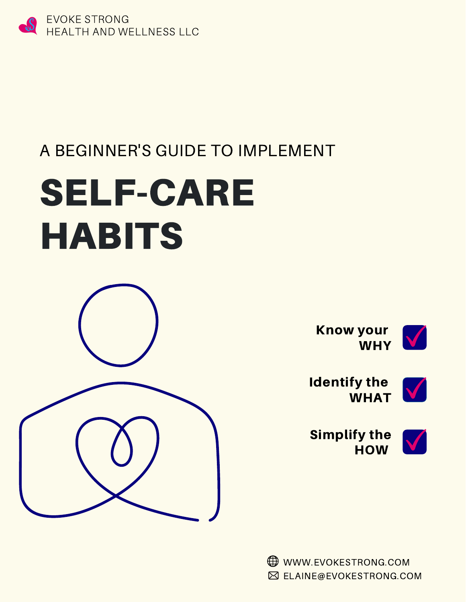

## A BEGINNER'S GUIDE TO IMPLEMENT

# SELF-CARE HABITS



Know your WHY V



Identify the WHAT

Simplify the **HOW** 



WWW.EVOKESTRONG.COM  $✓$  **ELAINE@EVOKESTRONG.COM**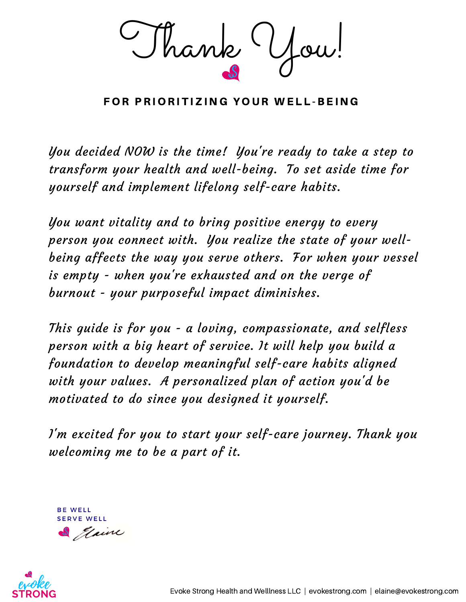Thank You!

FOR PRIORITIZING YOUR WELL-BEING

You decided NOW is the time! You're ready to take a step to transform your health and well-being. To set aside time for yourself and implement lifelong self-care habits.

You want vitality and to bring positive energy to every person you connect with. You realize the state of your wellbeing affects the way you serve others. For when your vessel is empty - when you're exhausted and on the verge of burnout - your purposeful impact diminishes.

This guide is for you - a loving, compassionate, and selfless person with a big heart of service. It will help you build a foundation to develop meaningful self-care habits aligned with your values. A personalized plan of action you'd be motivated to do since you designed it yourself.

I'm excited for you to start your self-care journey. Thank you welcoming me to be a part of it.

**BE WELL SERVE WELL** 



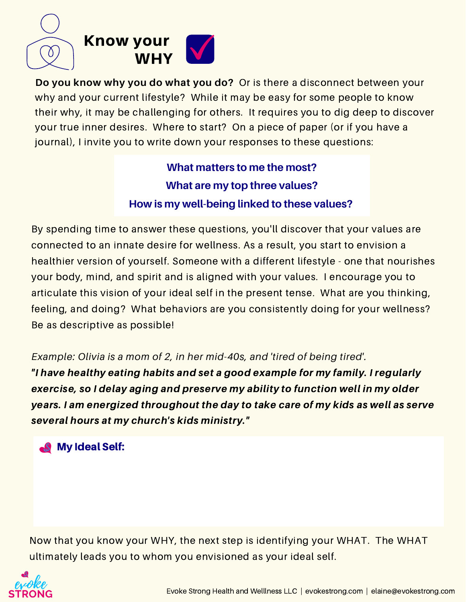

**Do you know why you do what you do?** Or is there a disconnect between your why and your current lifestyle? While it may be easy for some people to know their why, it may be challenging for others. It requires you to dig deep to discover your true inner desires. Where to start? On a piece of paper (or if you have a journal), I invite you to write down your responses to these questions:

> **What matters to me the most? What are my top three values? How is my well-being linked to these values?**

By spending time to answer these questions, you'll discover that your values are connected to an innate desire for wellness. As a result, you start to envision a healthier version of yourself. Someone with a different lifestyle - one that nourishes your body, mind, and spirit and is aligned with your values. I encourage you to articulate this vision of your ideal self in the present tense. What are you thinking, feeling, and doing? What behaviors are you consistently doing for your wellness? Be as descriptive as possible!

*Example: Olivia is a mom of 2, in her mid-40s, and 'tired of being tired'.* "I have healthy eating habits and set a good example for my family. I regularly exercise, so I delay aging and preserve my ability to function well in my older years. I am energized throughout the day to take care of my kids as well as serve several hours at my church's kids ministry."

#### My Ideal Self:

Now that you know your WHY, the next step is identifying your WHAT. The WHAT ultimately leads you to whom you envisioned as your ideal self.

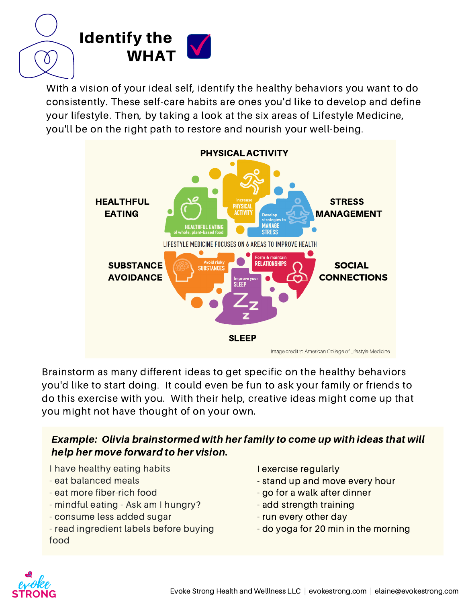

With a vision of your ideal self, identify the healthy behaviors you want to do consistently. These self-care habits are ones you'd like to develop and define your lifestyle. Then, by taking a look at the six areas of Lifestyle Medicine, you'll be on the right path to restore and nourish your well-being.



Brainstorm as many different ideas to get specific on the healthy behaviors you'd like to start doing. It could even be fun to ask your family or friends to do this exercise with you. With their help, creative ideas might come up that you might not have thought of on your own.

#### Example: Olivia brainstormed with her family to come up with ideas that will help her move forward to her vision.

- I have healthy eating habits
- eat balanced meals
- eat more fiber-rich food
- mindful eating Ask am I hungry?
- consume less added sugar
- read ingredient labels before buying food
- I exercise regularly
- stand up and move every hour
- go for a walk after dinner
- add strength training
- run every other day
- do yoga for 20 min in the morning

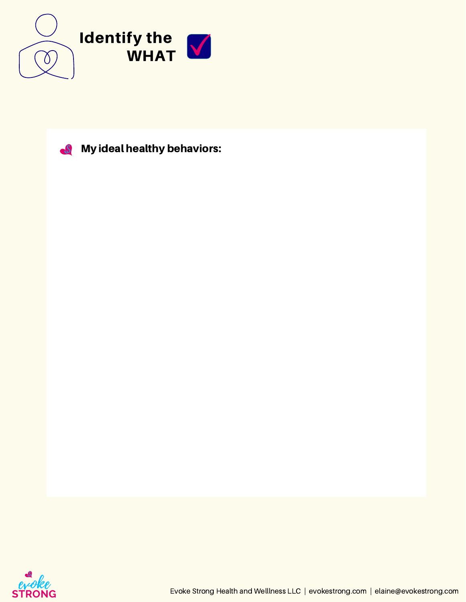



**S** My ideal healthy behaviors:

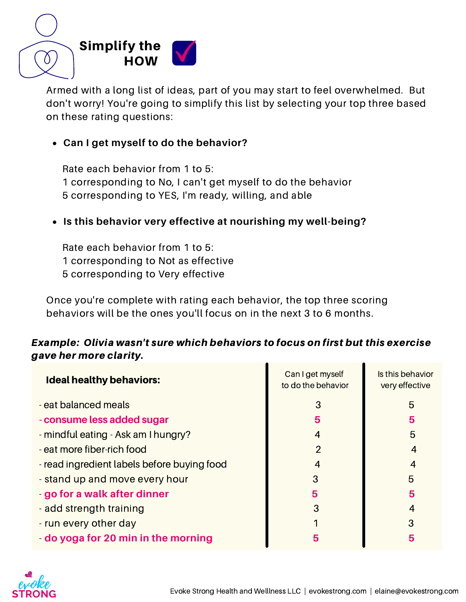

Armed with a long list of ideas, part of you may start to feel overwhelmed. But don't worry! You're going to simplify this list by selecting your top three based on these rating questions:

#### **Can I get myself to do the behavior?**

Rate each behavior from 1 to 5: 1 corresponding to No, I can't get myself to do the behavior 5 corresponding to YES, I'm ready, willing, and able

#### **Is this behavior very effective at nourishing my well-being?**

Rate each behavior from 1 to 5: 1 corresponding to Not as effective 5 corresponding to Very effective

Once you're complete with rating each behavior, the top three scoring behaviors will be the ones you'll focus on in the next 3 to 6 months.

#### Example: Olivia wasn't sure which behaviors to focus on first but this exercise gave her more clarity.

| <b>Ideal healthy behaviors:</b>             | Can I get myself<br>to do the behavior | Is this behavior<br>very effective |
|---------------------------------------------|----------------------------------------|------------------------------------|
| - eat balanced meals                        | 3                                      | 5                                  |
| - consume less added sugar                  | 5                                      | 5                                  |
| - mindful eating - Ask am I hungry?         | 4                                      | 5                                  |
| - eat more fiber-rich food                  | $\overline{2}$                         |                                    |
| - read ingredient labels before buying food | 4                                      |                                    |
| - stand up and move every hour              | 3                                      | 5                                  |
| - go for a walk after dinner                | 5                                      | 5                                  |
| - add strength training                     | 3                                      | 4                                  |
| - run every other day                       |                                        | З                                  |
| - do yoga for 20 min in the morning         | 5                                      | 5                                  |

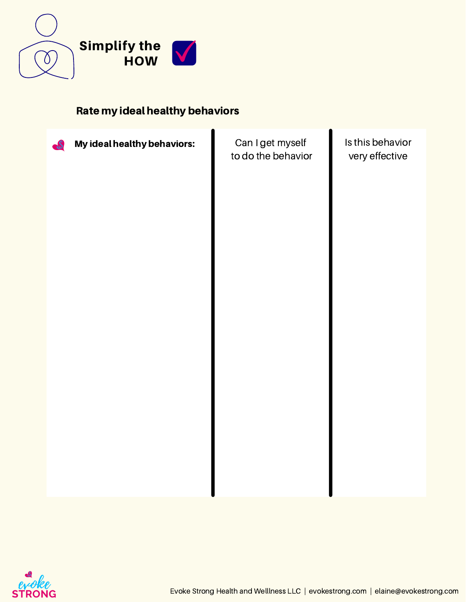

#### Rate my ideal healthy behaviors



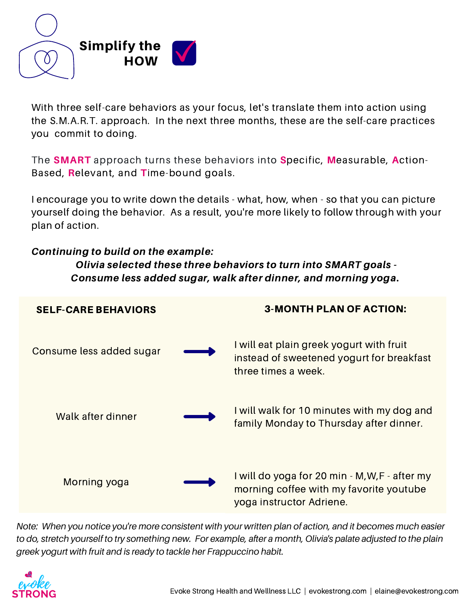

With three self-care behaviors as your focus, let's translate them into action using the S.M.A.R.T. approach. In the next three months, these are the self-care practices you commit to doing.

The **SMART** approach turns these behaviors into **S**pecific, **M**easurable, **A**ction-Based, **R**elevant, and **T**ime-bound goals.

I encourage you to write down the details - what, how, when - so that you can picture yourself doing the behavior. As a result, you're more likely to follow through with your plan of action.

#### Continuing to build on the example:

Olivia selected these three behaviors to turn into SMART goals - Consume less added sugar, walk after dinner, and morning yoga**.**



Note: When you notice you're more consistent with your written plan of action, and it becomes much easier to do, stretch yourself to try something new. For example, after a month, Olivia's palate adjusted to the plain *greek yogurt with fruit and is ready to tackle her Frappuccino habit.*

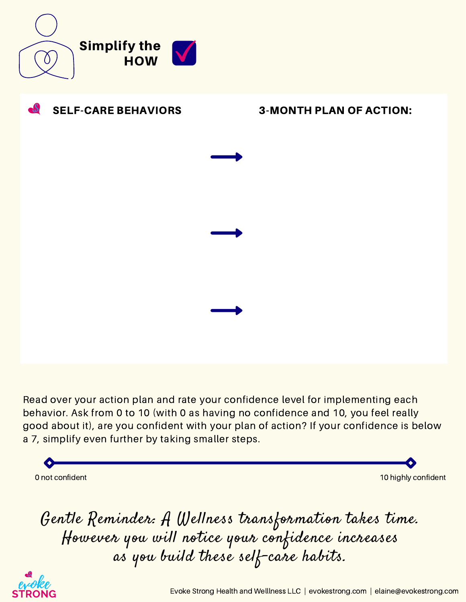



Read over your action plan and rate your confidence level for implementing each behavior. Ask from 0 to 10 (with 0 as having no confidence and 10, you feel really good about it), are you confident with your plan of action? If your confidence is below a 7, simplify even further by taking smaller steps.

0 not confident 10 highly confident 10 highly confident  $\sim$  10 highly confident  $\sim$ 

Gentle Reminder: A Wellness transformation takes time. However you will notice your confidence increases as you build these self-care habits.

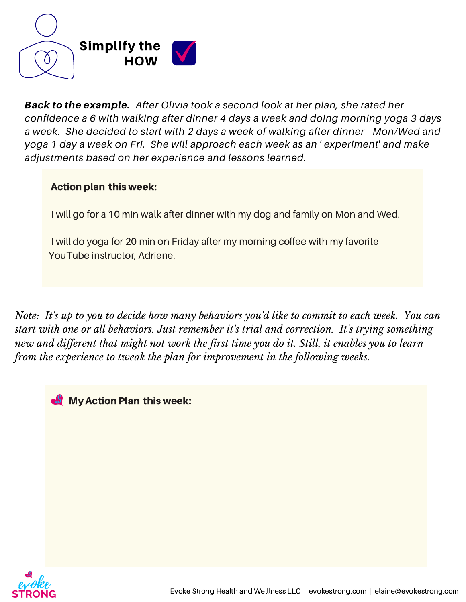

Back to the example. *After Olivia took a second look at her plan, she rated her confidence a 6 with walking after dinner 4 days a week and doing morning yoga 3 days a week. She decided to start with 2 days a week of walking after dinner - Mon/Wed and yoga 1 day a week on Fri. She will approach each week as an ' experiment' and make adjustments based on her experience and lessons learned.*

#### Action plan this week:

I will go for a 10 min walk after dinner with my dog and family on Mon and Wed.

I will do yoga for 20 min on Friday after my morning coffee with my favorite YouTube instructor, Adriene.

Note: It's up to you to decide how many behaviors you'd like to commit to each week. You can *start with one or all behaviors. Just remember it's trial and correction. It's trying something* new and different that might not work the first time you do it. Still, it enables you to learn *from the experience to tweak the plan for improvement in the following weeks.*

My Action Plan this week:

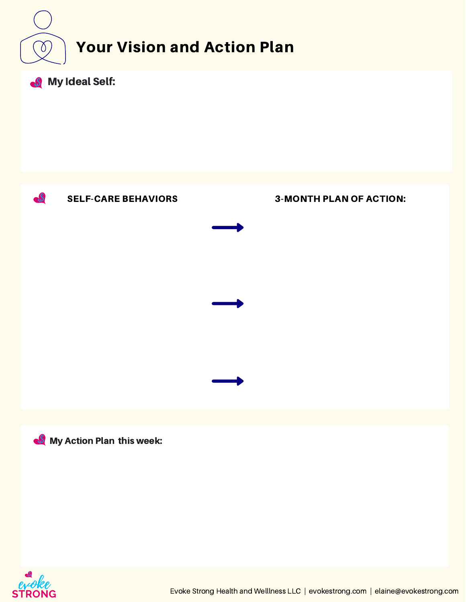